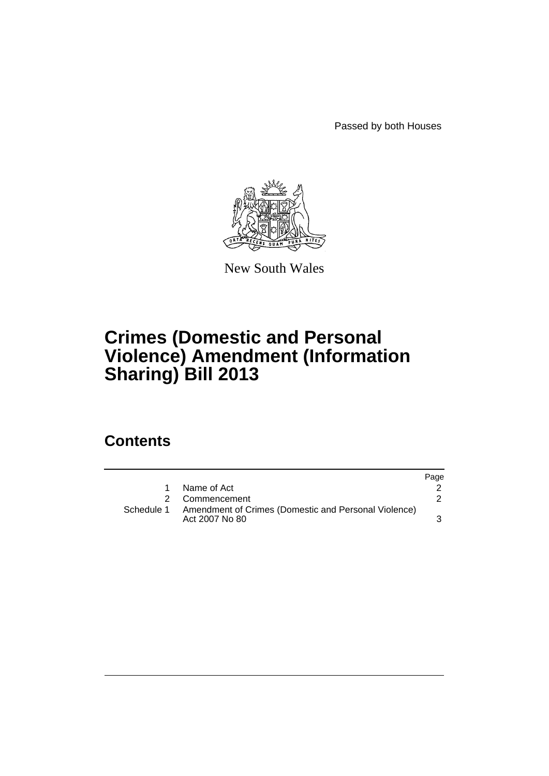Passed by both Houses



New South Wales

# **Crimes (Domestic and Personal Violence) Amendment (Information Sharing) Bill 2013**

## **Contents**

|                                                                                   | Page |
|-----------------------------------------------------------------------------------|------|
| Name of Act                                                                       |      |
| 2 Commencement                                                                    |      |
| Schedule 1 Amendment of Crimes (Domestic and Personal Violence)<br>Act 2007 No 80 |      |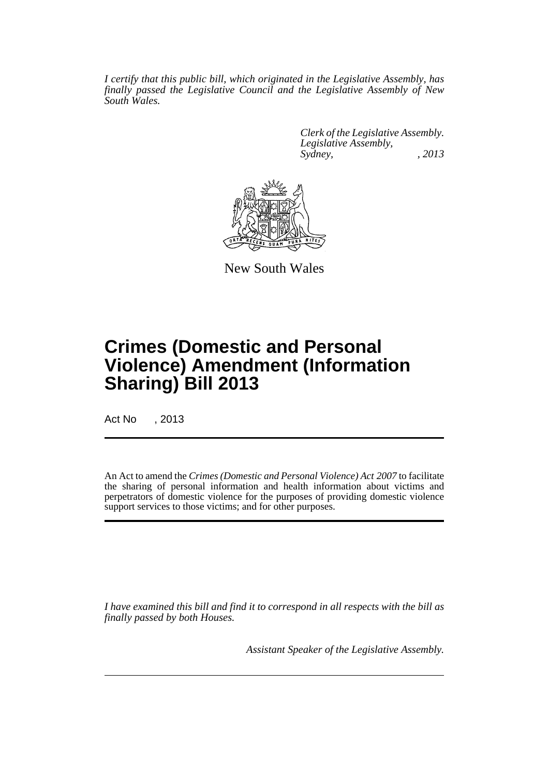*I certify that this public bill, which originated in the Legislative Assembly, has finally passed the Legislative Council and the Legislative Assembly of New South Wales.*

> *Clerk of the Legislative Assembly. Legislative Assembly, Sydney, , 2013*



New South Wales

# **Crimes (Domestic and Personal Violence) Amendment (Information Sharing) Bill 2013**

Act No , 2013

An Act to amend the *Crimes (Domestic and Personal Violence) Act 2007* to facilitate the sharing of personal information and health information about victims and perpetrators of domestic violence for the purposes of providing domestic violence support services to those victims; and for other purposes.

*I have examined this bill and find it to correspond in all respects with the bill as finally passed by both Houses.*

*Assistant Speaker of the Legislative Assembly.*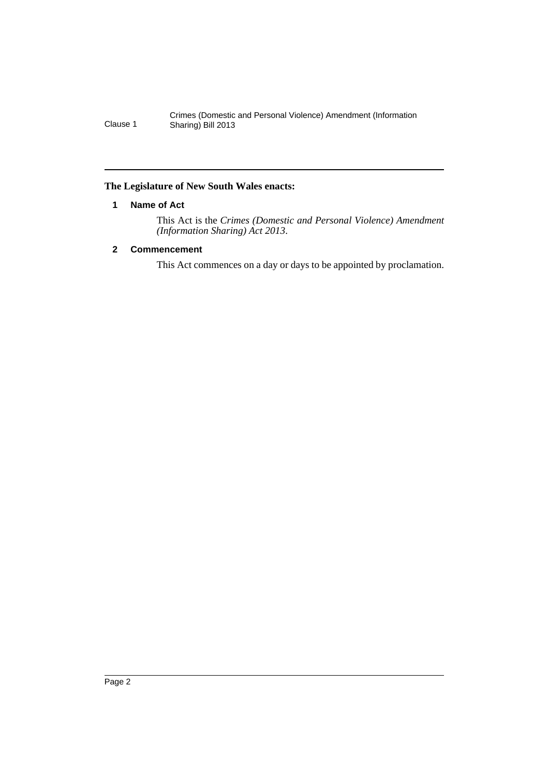#### <span id="page-3-0"></span>**The Legislature of New South Wales enacts:**

#### **1 Name of Act**

This Act is the *Crimes (Domestic and Personal Violence) Amendment (Information Sharing) Act 2013*.

### <span id="page-3-1"></span>**2 Commencement**

This Act commences on a day or days to be appointed by proclamation.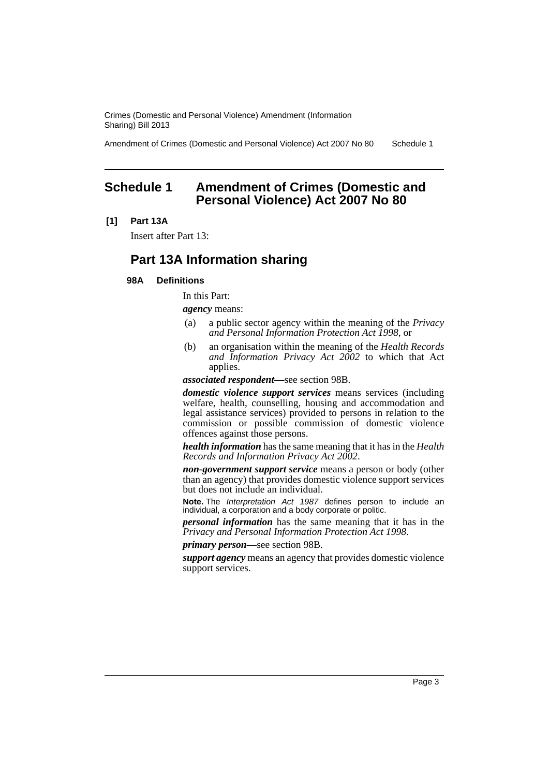Amendment of Crimes (Domestic and Personal Violence) Act 2007 No 80 Schedule 1

### <span id="page-4-0"></span>**Schedule 1 Amendment of Crimes (Domestic and Personal Violence) Act 2007 No 80**

#### **[1] Part 13A**

Insert after Part 13:

## **Part 13A Information sharing**

#### **98A Definitions**

In this Part:

*agency* means:

- (a) a public sector agency within the meaning of the *Privacy and Personal Information Protection Act 1998*, or
- (b) an organisation within the meaning of the *Health Records and Information Privacy Act 2002* to which that Act applies.

*associated respondent*—see section 98B.

*domestic violence support services* means services (including welfare, health, counselling, housing and accommodation and legal assistance services) provided to persons in relation to the commission or possible commission of domestic violence offences against those persons.

*health information* has the same meaning that it has in the *Health Records and Information Privacy Act 2002*.

*non-government support service* means a person or body (other than an agency) that provides domestic violence support services but does not include an individual.

**Note.** The *Interpretation Act 1987* defines person to include an individual, a corporation and a body corporate or politic.

*personal information* has the same meaning that it has in the *Privacy and Personal Information Protection Act 1998*.

*primary person*—see section 98B.

*support agency* means an agency that provides domestic violence support services.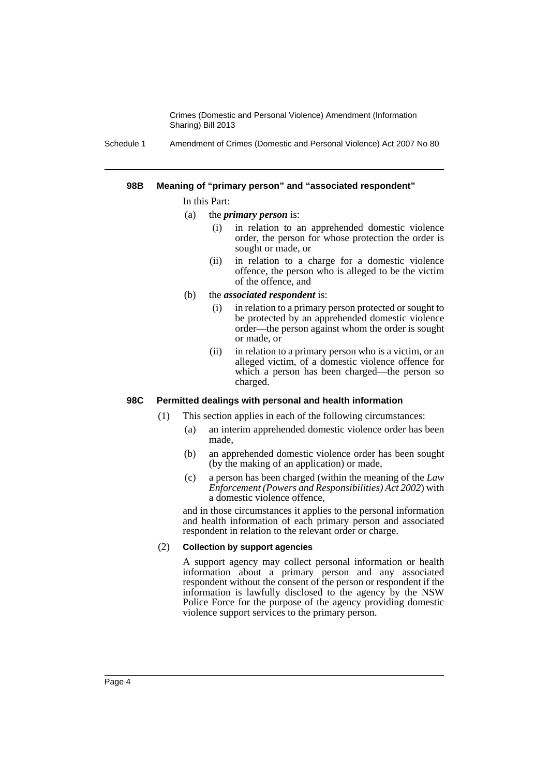Schedule 1 Amendment of Crimes (Domestic and Personal Violence) Act 2007 No 80

#### **98B Meaning of "primary person" and "associated respondent"**

#### In this Part:

- (a) the *primary person* is:
	- (i) in relation to an apprehended domestic violence order, the person for whose protection the order is sought or made, or
	- (ii) in relation to a charge for a domestic violence offence, the person who is alleged to be the victim of the offence, and
- (b) the *associated respondent* is:
	- (i) in relation to a primary person protected or sought to be protected by an apprehended domestic violence order—the person against whom the order is sought or made, or
	- (ii) in relation to a primary person who is a victim, or an alleged victim, of a domestic violence offence for which a person has been charged—the person so charged.

#### **98C Permitted dealings with personal and health information**

(1) This section applies in each of the following circumstances:

- (a) an interim apprehended domestic violence order has been made,
- (b) an apprehended domestic violence order has been sought (by the making of an application) or made,
- (c) a person has been charged (within the meaning of the *Law Enforcement (Powers and Responsibilities) Act 2002*) with a domestic violence offence,

and in those circumstances it applies to the personal information and health information of each primary person and associated respondent in relation to the relevant order or charge.

#### (2) **Collection by support agencies**

A support agency may collect personal information or health information about a primary person and any associated respondent without the consent of the person or respondent if the information is lawfully disclosed to the agency by the NSW Police Force for the purpose of the agency providing domestic violence support services to the primary person.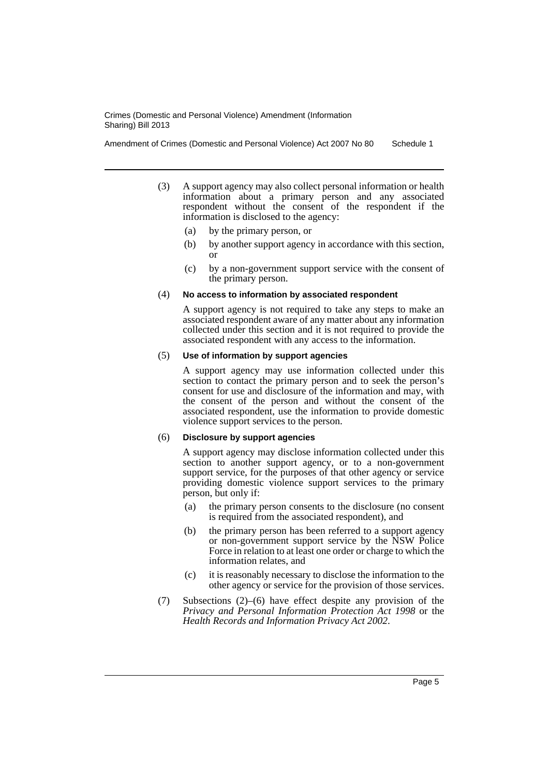Amendment of Crimes (Domestic and Personal Violence) Act 2007 No 80 Schedule 1

- (3) A support agency may also collect personal information or health information about a primary person and any associated respondent without the consent of the respondent if the information is disclosed to the agency:
	- (a) by the primary person, or
	- (b) by another support agency in accordance with this section, or
	- (c) by a non-government support service with the consent of the primary person.

#### (4) **No access to information by associated respondent**

A support agency is not required to take any steps to make an associated respondent aware of any matter about any information collected under this section and it is not required to provide the associated respondent with any access to the information.

#### (5) **Use of information by support agencies**

A support agency may use information collected under this section to contact the primary person and to seek the person's consent for use and disclosure of the information and may, with the consent of the person and without the consent of the associated respondent, use the information to provide domestic violence support services to the person.

#### (6) **Disclosure by support agencies**

A support agency may disclose information collected under this section to another support agency, or to a non-government support service, for the purposes of that other agency or service providing domestic violence support services to the primary person, but only if:

- (a) the primary person consents to the disclosure (no consent is required from the associated respondent), and
- (b) the primary person has been referred to a support agency or non-government support service by the NSW Police Force in relation to at least one order or charge to which the information relates, and
- (c) it is reasonably necessary to disclose the information to the other agency or service for the provision of those services.
- (7) Subsections (2)–(6) have effect despite any provision of the *Privacy and Personal Information Protection Act 1998* or the *Health Records and Information Privacy Act 2002*.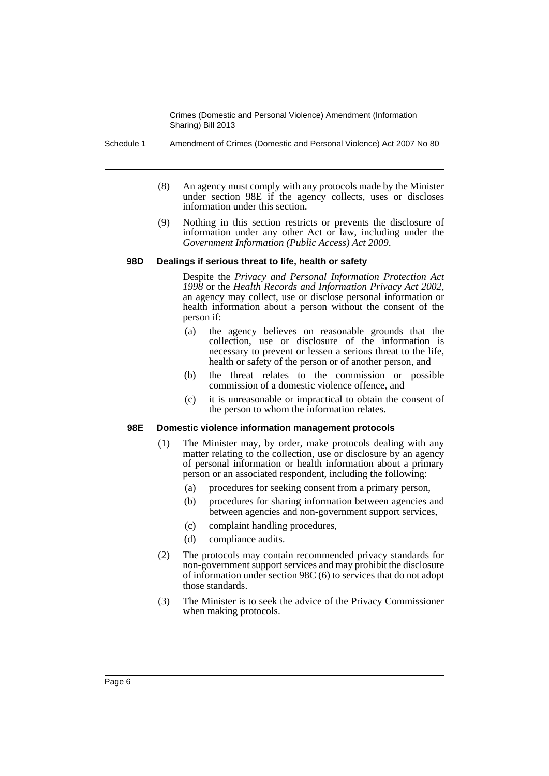- Schedule 1 Amendment of Crimes (Domestic and Personal Violence) Act 2007 No 80
	- (8) An agency must comply with any protocols made by the Minister under section 98E if the agency collects, uses or discloses information under this section.
	- (9) Nothing in this section restricts or prevents the disclosure of information under any other Act or law, including under the *Government Information (Public Access) Act 2009*.

#### **98D Dealings if serious threat to life, health or safety**

Despite the *Privacy and Personal Information Protection Act* an agency may collect, use or disclose personal information or health information about a person without the consent of the person if:

- (a) the agency believes on reasonable grounds that the collection, use or disclosure of the information is necessary to prevent or lessen a serious threat to the life, health or safety of the person or of another person, and
- (b) the threat relates to the commission or possible commission of a domestic violence offence, and
- (c) it is unreasonable or impractical to obtain the consent of the person to whom the information relates.

#### **98E Domestic violence information management protocols**

- (1) The Minister may, by order, make protocols dealing with any matter relating to the collection, use or disclosure by an agency of personal information or health information about a primary person or an associated respondent, including the following:
	- (a) procedures for seeking consent from a primary person,
	- (b) procedures for sharing information between agencies and between agencies and non-government support services,
	- (c) complaint handling procedures,
	- (d) compliance audits.
- (2) The protocols may contain recommended privacy standards for non-government support services and may prohibit the disclosure of information under section 98C (6) to services that do not adopt those standards.
- (3) The Minister is to seek the advice of the Privacy Commissioner when making protocols.